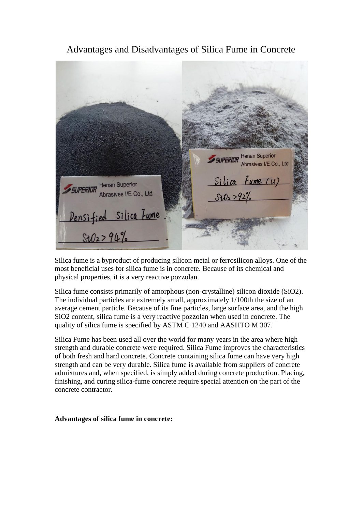**SUPERIDR** Henan Superior Abrasives I/E Co., Ltd **SUPERIDR** Henan Superior Fume (U) Abrasives I/E Co., Ltd. <u>Densified Silica Fume</u>  $$102 > 94\%$ 

Advantages and Disadvantages of Silica Fume in Concrete

Silica fume is a byproduct of producing silicon metal or ferrosilicon alloys. One of the most beneficial uses for silica fume is in concrete. Because of its chemical and physical properties, it is a very reactive pozzolan.

Silica fume consists primarily of amorphous (non-crystalline) silicon dioxide (SiO2). The individual particles are extremely small, approximately 1/100th the size of an average cement particle. Because of its fine particles, large surface area, and the high SiO2 content, silica fume is a very reactive pozzolan when used in concrete. The quality of silica fume is specified by ASTM C 1240 and AASHTO M 307.

Silica Fume has been used all over the world for many years in the area where high strength and durable concrete were required. Silica Fume improves the characteristics of both fresh and hard concrete. Concrete containing silica fume can have very high strength and can be very durable. Silica fume is available from suppliers of concrete admixtures and, when specified, is simply added during concrete production. Placing, finishing, and curing silica-fume concrete require special attention on the part of the concrete contractor.

**Advantages of silica fume in concrete:**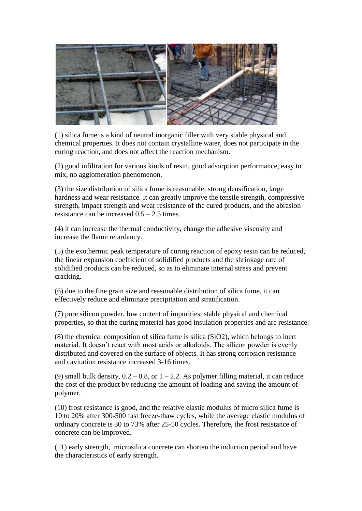

(1) silica fume is a kind of neutral inorganic filler with very stable physical and chemical properties. It does not contain crystalline water, does not participate in the curing reaction, and does not affect the reaction mechanism.

(2) good infiltration for various kinds of resin, good adsorption performance, easy to mix, no agglomeration phenomenon.

(3) the size distribution of silica fume is reasonable, strong densification, large hardness and wear resistance. It can greatly improve the tensile strength, compressive strength, impact strength and wear resistance of the cured products, and the abrasion resistance can be increased 0.5 – 2.5 times.

(4) it can increase the thermal conductivity, change the adhesive viscosity and increase the flame retardancy.

(5) the exothermic peak temperature of curing reaction of epoxy resin can be reduced, the linear expansion coefficient of solidified products and the shrinkage rate of solidified products can be reduced, so as to eliminate internal stress and prevent cracking.

(6) due to the fine grain size and reasonable distribution of silica fume, it can effectively reduce and eliminate precipitation and stratification.

(7) pure silicon powder, low content of impurities, stable physical and chemical properties, so that the curing material has good insulation properties and arc resistance.

(8) the chemical composition of silica fume is silica (SiO2), which belongs to inert material. It doesn't react with most acids or alkaloids. The silicon powder is evenly distributed and covered on the surface of objects. It has strong corrosion resistance and cavitation resistance increased 3-16 times.

(9) small bulk density,  $0.2 - 0.8$ , or  $1 - 2.2$ . As polymer filling material, it can reduce the cost of the product by reducing the amount of loading and saving the amount of polymer.

(10) frost resistance is good, and the relative elastic modulus of micro silica fume is 10 to 20% after 300-500 fast freeze-thaw cycles, while the average elastic modulus of ordinary concrete is 30 to 73% after 25-50 cycles. Therefore, the frost resistance of concrete can be improved.

(11) early strength, microsilica concrete can shorten the induction period and have the characteristics of early strength.